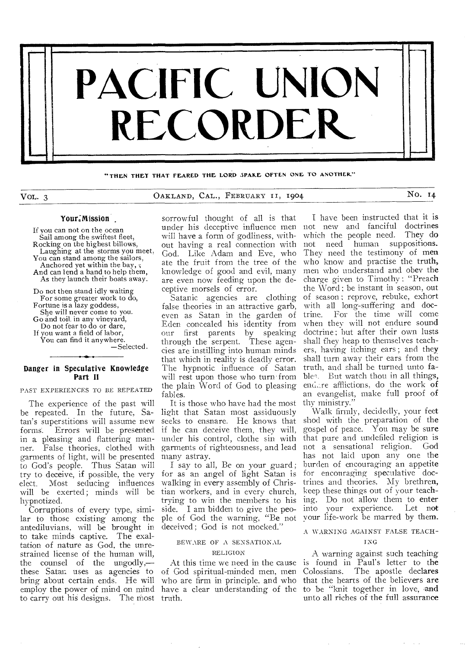

"THEN THEY THAT FEARED THE LORD SPARE OFTEN ONE TO ANOTHER."

VOL. 3 OAKLAND, CAL., FEBRUARY 11, 1904 NO. 14

#### Your, Mission

If you can not on the ocean Sail among the swiftest fleet, Rocking on the highest billows, Laughing at the storms you meet, You can stand among the sailors, Anchored yet within the bay,  $\sqrt{s}$ And can lend a hand to help them, As they launch their boats away.

Do not then stand idly waiting For some greater work to do, Fortune is a lazy goddess, She will never come to you. Go and toil, in any vineyard, Do not fear to do or dare, If you want a field of labor, You can find it anywhere.

—Selected.

#### Danger in Speculative Knowledge Part H

PAST EXPERIENCES TO BE REPEATED

The experience of the past will be repeated. In the future, Satan's superstitions will assume new forms. Errors will be presented in a pleasing and flattering manner. False theories, clothed with garments of light, will be presented to God's people. Thus Satan will try to deceive, if possible, the very elect. Most seducing influences will be exerted; minds will be hypnotized.

Corruptions of every type, similar to those existing among the antediluvians, will be brought in to take minds captive. The exaltation of nature as God, the unrestrained license of the human will, the counsel of the ungodly, these Satan uses as agencies to bring about certain ends. He will to carry out his designs. The most truth.

sorrowful thought of all is that will have a form of godliness, without having a real connection with God. Like Adam and Eve, who ate the fruit from the tree of the knowledge of good and evil, many are even now feeding upon the deceptive morsels of error.

Satanic agencies are clothing false theories in an attractive garb, even as Satan in the garden of Eden concealed his identity from our first parents by speaking through the serpent. These agencies are instilling into human minds that which in reality is deadly error. The hypnotic influence of Satan will rest upon those who turn from the plain Word of God to pleasing fables.

It is those who have had the most light that Satan most assiduously seeks to ensnare. He knows that if he can deceive them, they will, under his control, clothe sin with garments of righteousness, and lead many astray.

I say to all, Be on your guard ; for as an angel of light Satan is walking in every assembly of Christian workers, and in every church, trying to win the members to his side. I am bidden to give the people of God the warning, "Be not deceived; God is not mocked.'

### BEWARE OF A SENSATIONAL

RELIGION

employ the power of mind on mind have a clear understanding of the to be "knit together in love, and of God spiritual-minded men, men who are firm in principle, and who

under his deceptive influence men not new and fanciful doctrines I have been instructed that it is which the people need. They do not need human suppositions. not need human suppositions. They need the testimony of men who know and practise the truth, men who understand and obey the charge given to Timothy : "Preach the Word: be instant in season, out of season ; reprove, rebuke, exhort with all long-suffering and doctrine. For the time will come when they will not endure sound doctrine; but after their own lusts shall fhey heap to themselves teachers, having itching ears; and they shall turn away their ears from the truth, and shall be turned unto fables. But watch thou in all things, endare afflictions, do the work of an evangelist, make full proof of thy ministry."

Walk firmly, decidedly, your feet shod with the preparation of the gospel of peace. You may be sure that pure and undefiled religion is not a sensational religion. God has not laid upon any one the burden of encouraging an appetite for encouraging speculative doctrines and theories. My brethren, keep these things out of your teaching. Do not allow them to enter<br>into your experience. Let not into your experience. your life-work be marred by them.

#### A WARNING AGAINST FALSE TEACH-

#### ING

At this time we need in the cause is found in Paul's letter to the A warning against such teaching Colossians. The apostle declares that the hearts of the believers are unto all riches of the full assurance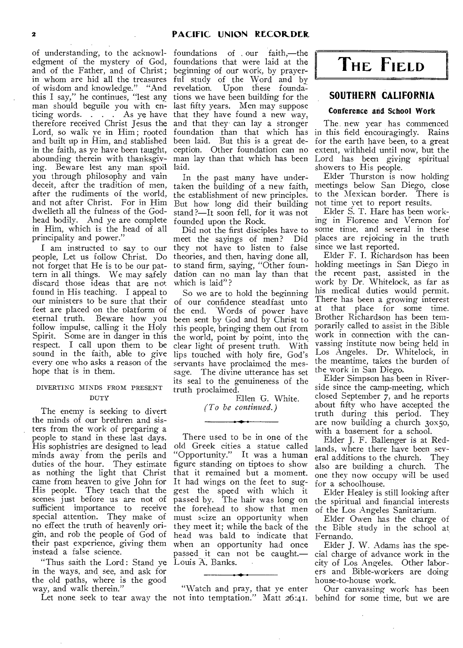of understanding, to the acknowl-foundations of , our faith,—the edgment of the mystery of God, foundations that were laid at the and of the Father, and of Christ; beginning of our work, by prayerin whom are hid all the treasures ful study of the Word and by of wisdom and knowledge." "And revelation. Upon these foundathis I say," he continues, "lest any tions we have been building for the man should beguile you with enticing words. . . . As ye have therefore received Christ Jesus the Lord, so walk ye in Him; rooted and built up in Him, and stablished in the faith, as ye have been taught, abounding therein with thanksgiving. Beware lest any man spoil you through philosophy and vain deceit, after the tradition of men, after the rudiments of the world, and not after Christ. For in Him dwelleth all the fulness of the Godhead bodily. And ye are complete in Him, which is the head of all principality and power."

I am instructed to say to our people, Let us follow Christ. Do not forget that He is to be our pattern in all things. We may safely discard those ideas that are not. found in His teaching. I appeal to our ministers to be sure that their feet are placed on the platform of eternal truth. Beware how you follow impulse, calling it the Holy Spirit. Some are in danger in this respect. I call upon them to be sound in the faith, able to give every one who asks a reason of the hope that is in them.

#### DIVERTING MINDS FROM PRESENT DUTY

The enemy is seeking to divert the minds of our brethren and sisters from the work of preparing a people to stand in these last days. His sophistries are designed to lead minds away from the perils and duties of the hour. They estimate as nothing the light that Christ came from heaven to give John for His people. They teach that the scenes just before us are not of sufficient importance to receive special attention. They make of no effect the truth of heavenly origin, and rob the people of God of their past experience, giving them instead a false science.

"Thus saith the Lord: Stand ye in the ways, and see, and ask for the old paths, where is the good way, and walk therein."

last fifty years. Men may suppose that they have found a new way, and that they can lay a stronger foundation than that which has in this field encouragingly. Rains been laid. But this is a great deception. Other foundation can no man lay than that which has been Lord has been giving spiritual laid.

In the past many have undertaken the building of a new faith, the establishment of new principles. But how long did their building stand ?—It soon fell, for it was not founded upon the Rock.

Did not the first disciples have to meet the sayings of men? Did they not have to listen to false theories, and then, having done all, to stand firm, saying, "Other foundation can no man lay than that which is laid"?

So we are to hold the beginning of our confidence steadfast unto the end. Words of power have been sent by God and by Christ to this people, bringing them out from the world, point by point, into the clear light of present truth. With lips touched with holy fire, God's servants have proclaimed the message. The divine utterance has set its seal to the genuineness of the truth proclaimed.

> Ellen G. White. *(To be continued.)*

There used to be in one of the old Greek cities a statue called "Opportunity." It was a human figure standing on tiptoes to show that it remained but a moment. It had wings on the feet to suggest the speed with which it passed by. The hair was long on the forehead to show that men must seize an opportunity when they meet it; while the back of the head was bald to indicate that when an opportunity had once passed it can not be caught.— Louis A. Banks.

"Watch and pray, that ye enter

## **THE FIELD**

#### **SOUTHERN CALIFORNIA**

#### **Conference and School Work**

The new year has commenced for the earth have been, to a great extent, withheld until now, but the showers to His people.

Elder Thurston is now holding meetings below San Diego, close to the Mexican border. There is not time yet to report results.

Elder S. T. Hare has been working in Florence and Vernon for' some time, and several in these places are rejoicing in the truth since we last reported.

Elder F. I. Richardson has been holding meetings in San Diego in the recent past, assisted in the work by Dr. Whitelock, as far as his medical duties would permit. There has been a growing interest at that place for some time. Brother Richardson has been temporarily called to assist in the Bible work in connection with the canvassing institute now being held in Los Angeles. Dr. Whitelock, in the meantime, takes the burden of the work in San Diego.

Elder Simpson has been in Riverside since the camp-meeting, which closed September 7, and he reports about fifty who have accepted the truth during this period. They are now building a church 30x50, with a basement for a school.

Elder J. F. Ballenger is at Redlands, where there have been several additions to the church. They also are building a church. The one they now occupy will be used for a schoolhouse.

Elder Healey is still looking after the spiritual and financial interests of the Los Angeles Sanitarium.

Elder Owen has the charge of the Bible study in the school at Fernando.

Elder J. W. Adams has the special charge of advance work in the city of Los Angeles. Other laborers and Bible-workers are doing house-to-house work.

Let none seek to tear away the not into temptation." Matt 26:41. behind for some time, but we are Our canvassing work has been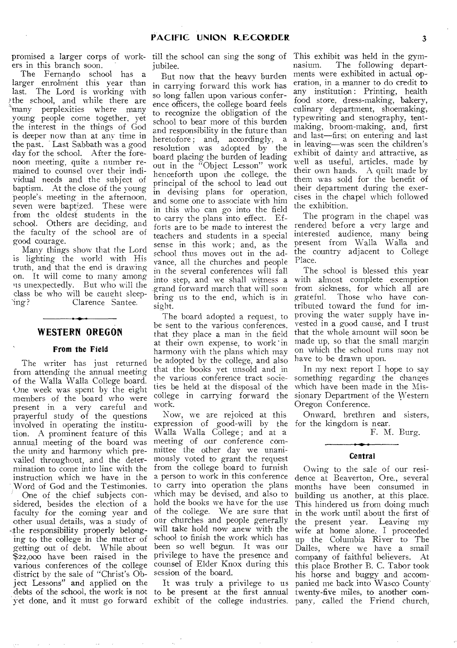ers in this branch soon.

The Fernando school has a larger enrolment this year than last. The Lord is working with ) the school, and while there are -many perplexities where many young people come together, yet the interest in the things of God is deeper now than at any time in the past. Last Sabbath was a good day for the school. After the forenoon meeting, quite a number remained to counsel over their individual needs and the subject of baptism. At the close of the young people's meeting in the afternoon, seven were baptized. These were from the oldest students in the school. Others are deciding, and the faculty of the school are of good courage.<br>Many things show that the Lord

is lighting the world with His truth, and that the end is drawing on. It will come to many among us unexpectedly. But who will the class be who will be caught sleep-<br>
ing? Clarence Santee. Clarence Santee.

#### **WESTERN OREGON**

#### **From the Field**

The writer has just returned from attending the annual meeting of the Walla Walla College board. One week was spent by the eight members of the board who were present in a very careful and prayerful study of the questions involved in operating the institution. A prominent feature of this annual meeting of the board was the unity and harmony which prevailed throughout, and the determination to come into line with the instruction which we have in the Word of God and the Testimonies.

One of the chief subjects considered, besides the election of a faculty for the coming year and other usual details, was a study of the responsibility properly belonggetting out of debt. While about \$22,000 have been raised in the privilege to have the presence and various conferences of the college -district by the sale of "Christ's Object Lessons" and applied on the debts of the school, the work is not to be present at the first annual yet done, and it must go forward exhibit of the college industries. pang, called the Friend church,

jubilee.

But now that the heavy burden in carrying forward this work has so long fallen upon various conference officers, the college board feels to recognize the obligation of the school to bear more of this burden and responsibility in the future than heretofore; and, accordingly, a resolution was adopted by the board placing the burden of leading out in the <sup>"</sup>Object Lesson" work henceforth upon the college, the principal of the school to lead out in devising plans for operation, and some one to associate with him in this who can *go* into the field to carry the plans into effect. Efforts are to be made to interest the teachers and students in a special sense in this work; and, as the school thus moves out in the advance, all the churches and people in the several conferences will fall into step, and we shall witness a with almost complete exemption .grand forward march that will soon bring us to the end, which is in sight.

The board adopted a request, to be sent to the various conferences, that they place a man in the field at their own expense, to work 'in harmony with the plans which may be adopted by the college, and also that the books yet unsold and in the various conference tract societies be held at the disposal of the college in carrying forward the work.

ing to the college in the matter of school to finish the work which has Now, we are rejoiced at this expression of good-will by the Walla Walla College; and at a meeting of our conference committee the other day we unanimously voted to grant the request from the college board to furnish a person to work in this conference to carry into operation the plans which may be devised, and also to hold the books we have for the use of the college. We are sure that our churches and people generally will take hold now anew with the been so well begun. It was our counsel of Elder Knox during this session of the board.

It was truly a privilege to us

promised a larger corps of work-till the school can sing the song of This exhibit was held in the gymnasium. The following departments were exhibited in actual operation, in a manner to do credit to any institution : Printing, health food store, dress-making, bakery, culinary department, shoemaking, typewriting and stenography, tentmaking, broom-making, and, first and last—first on entering and last in leaving—was seen the children's exhibit of dainty and attractive, as well as useful, articles, made by their own hands. A quilt made by them was sold for the benefit of their department during the exercises in the chapel which followed the exhibition.

> The program in the chapel was rendered before a very large and interested audience, many being present from Walla Walla and the country adjacent to College Place.

> The school is blessed this year from sickness, for which all are<br>grateful. Those who have con-Those who have contributed toward the fund for improving the water supply have invested in a good cause, and I trust that the whole amount will soon be made up, so that the small margin on which the school runs may not have to be drawn upon.

> In my next report I hope to say something regarding the changes which have been made in the Missionary Department of the Western Oregon Conference.

Onward, brethren and sisters, for the kingdom is near.

F. M. Burg.

#### **Central**

Owing to the sale of our residence at Beaverton, Ore., several months have been consumed in building us another, at this place. This hindered us from doing much in the work until about the first of the present year. Leaving my wife at home alone, I proceeded up the Columbia River to The Dalles, where we have a small company of faithful believers. At this place Brother B. C. Tabor took his horse and buggy and accompanied me back into Wasco County' twenty-five miles, to another con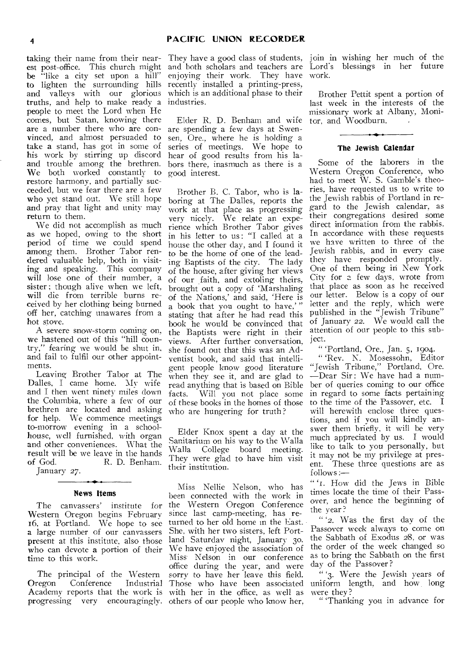est post-office. This church might be "like a city set upon a hill" to lighten the surrounding hills recently installed a printing-press, and valleys with our glorious truths, and help to make ready a industries. people to meet the Lord when He comes, but Satan, knowing there are a number there who are convinced, and almost persuaded to take a stand, has got in some of his work by stirring up discord and trouble among the brethren. We both worked constantly to restore harmony, and partially succeeded, but we fear there are a few who yet stand out. We still hope and pray that light and unity may return to them.

We did not accomplish as much as we hoped, owing to the short period of time we could spend among them. Brother Tabor rendered valuable help, both in visiting and speaking. This company will lose one of their number, a sister; though alive when we left, will die from terrible burns received by her clothing being burned off her, catching unawares from a hot stove.

A severe snow-storm coming on, we hastened out of this "hill country," fearing we would be shut in, and fail to fulfil our other appointments.

Leaving Brother Tabor at The Dalles, I came home. My wife and I then went ninety miles down the Columbia, where a few of our brethren are located and asking for help. We commence meetings to-morrow evening in a schoolhouse, well furnished, with organ and other conveniences. What the result will be we leave in the hands<br>of God. R. D. Benham. R. D. Benham.

January 27.

#### **News Items**

The canvassers' institute for Western Oregon begins February 16, at Portland. We hope to see a large number of our canvassers present at this institute, also those who can devote a portion of their time to this work.

The principal of the Western<br>Oregon Conference Industrial Conference progressing very encouragingly. others of our people who know her,

enjoying their work. They have work. which is an additional phase to their

Elder R. D. Benham and wife are spending a few days at Swensen, Ore., where he is holding a series of meetings. We hope to hear of good results from his labors there, inasmuch as there is a good interest.

Brother B. C. Tabor, who is laboring at The Dalles, reports the work at that place as progressing very nicely. We relate an experience which Brother Tabor gives in his letter to us: "I called at a house the other day, and I found it to be the home of one of the leading Baptists of the city. The lady of the house, after giving her views of our faith, and extoling theirs, brought out a copy of 'Marshaling of the Nations,' and said, 'Here is a book that you ought to have,'" stating that after he had read this book he would be convinced that the Baptists were right in their views. After further conversation, she found out that this was an Adventist book, and said that intelligent people know good literature when they see it, and are glad to read anything that is based on Bible<br>facts. Will you not place some Will you not place some of these books in the homes of those who are hungering for truth?

Elder Knox spent a day at the Sanitarium on his way to the Walla Walla College board meeting. They were glad to have him visit their institution.

Academy reports that the work is with her in the office, as well as Miss Nellie Nelson, who has been connected with the work in the Western Oregon Conference since last camp-meeting, has returned to her old home in the East. She, with her two sisters, left Portland Saturday night, January 3o. We have enjoyed the association of Miss Nelson in our conference office during the year, and were sorry to have her leave this *field.*  Those who have been associated

taking their name from their near-They have a good class of students, join in wishing her much of the and both scholars and teachers are Lord's blessings in her future

> Brother Pettit spent a portion of last week in the interests of the missionary work at Albany, Monitor, and Woodburn.

#### **The Jewish Calendar**

Some of the laborers in the Western Oregon Conference, who had to meet W. S. Gamble's theories, have requested us to write to the Jewish rabbis of Portland in regard to the Jewish calendar, as their congregations desired some direct information from the rabbis. In accordance with these requests we have written to three of the Jewish rabbis, and in every case they have responded promptly. One of them being in New York City for a few days, wrote from that place as soon as he received our letter. Below is a copy of our letter and the reply, which were published in the "Jewish Tribune" of January *22.* We would call the attention of our people to this subject.

" 'Portland, Ore., Jan. 5, 1904.

" 'Rev. N. Mosessohn, Editor "Jewish Tribune," Portland, Ore. —Dear Sir : We have had a number of queries coming to our office in regard to some facts pertaining to the time of the Passover, etc. I will herewith enclose three questions, and if you will kindly answer them briefly, it will be very much appreciated by us. I would like to talk to you personally, but it may not be my privilege at present. These three questions are as follows :—

"'I. How did the Jews in Bible times locate the time of their Passover, and hence the beginning of the year?

" '2. Was the first day of the Passover week always to come on the Sabbath of Exodus 28, or was the order of the week changed so as to bring the Sabbath on the first day of the Passover ?

" '3. Were the Jewish years of uniform length, and how long were they?

" 'Thanking you in advance for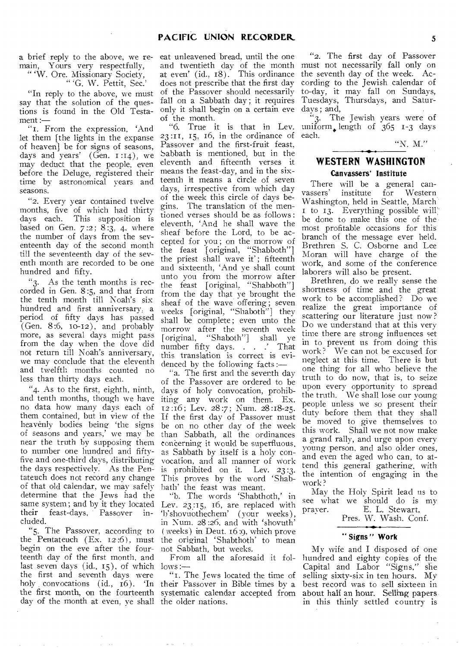a brief reply to the above, we remain, Yours very respectfully,

" 'W. Ore. Missionary Society,

" 'G. W. Pettit, Sec.'

"In reply to the above, we must say that the solution of the questions is found in the Old Testament :—

"I. From the expression, 'And let them [the lights in the expanse of heaven] be for signs of seasons, days and years' (Gen. 1:14), we may deduct that the people, even before the Deluge, registered their time by astronomical years and seasons.

"2. Every year contained twelve months, five of which had thirty<br>days each. This supposition is This supposition is based on Gen.  $7:2$ ;  $8:3$ , 4, where the number of days from the seventeenth day of the second month till the seventeenth day of the seventh month are recorded to be one hundred and fifty.

"3. As the tenth months is reccorded in Gen. 8:5, and that from the tenth month till Noah's six hundred and first anniversary, a period of fifty days has passed (Gen. 8:6, to-12), and probably more, as several days might pass from the day when the dove did not return till Noah's anniversary, we may conclude that the eleventh and twelfth months counted no less than thirty days each.

"4. As to the first, eighth, ninth, and tenth months, though we have no data how many days each of them contained, but in view of the heavenly bodies being 'the signs of seasons and years,' we may be near the truth by supposing them to number one hundred and fiftyfive and one-third days, distributing the days respectively. As the Pentateuch does not record any change of that old calendar, we may safely determine that the Jews had the same system; and by it they located<br>their feast-days, Passover infeast-days, Passover included.

"5. The Passover, according to the Pentateuch (Ex. 12 :6), must begin on the eve after the fourteenth day of the first month, and last seven days (id., 15), of which the first and seventh days were holy , convocations (id., 16). 'In the first month, on the fourteenth day of the month at even, ye shall the older nations.

eat unleavened bread, until the one and twentieth day of the month must not necessarily fall only on at even' (id., 18). This ordinance does not prescribe that the first day of the Passover should necessarily fall on a Sabbath day; it requires only it shall begin on a certain eve days ; and,

of the month. "6. True it is that in Lev. 23:11, 15, 16, in the ordinance of each. Passover and the first-fruit feast, Sabbath is mentioned, but in the eleventh and fifteenth verses it means the feast-day, and in the sixteenth it means a circle of seven days, irrespective from which day of the week this circle of days begins. The translation of the mentioned verses should be as follows : eleventh, 'And he shall wave the sheaf before the Lord, to be accepted for you ; on the morrow of the feast [original, "Shabboth"] the priest shall wave it'; fifteenth and sixteenth, 'And ye shall count unto you from the morrow after the feast [original, "Shabboth"] from the day that ye brought the sheaf of the wave offering; seven weeks [original, "Shaboth"] they shall be complete; even unto the morrow after the seventh week<br>[original, "Shaboth"] shall ye "Shaboth"] shall ye number fifty days. . . . ' That this translation is correct is evidenced by the following facts  $:$ 

"a. The first and the seventh day of the Passover are ordered to be days of holy convocation, prohibiting any work on them. Ex. 12 :16 ; Lev. 28 :7; Num. 28:18-25. If the first day of Passover must be on no other day of the week than Sabbath, all the ordinances concerning it would be superfluous, as Sabbath by itself is a holy convocation, and all manner of Work is prohibited on it. Lev. 23 :3. This proves by the word 'Shabbath' the feast was meant.

"b. The words `Shabthoth,' in Lev. 23:15, 16, are replaced with `b'shovuothechem' (your weeks), in Num. 28 :26. and with `shovuth' ( weeks) in Deut. 16 :9, which prove the original 'Shabthoth' to mean not Sabbath, but weeks.

From all the aforesaid it fol $lows :=$ 

"I. The Jews located the time of their Passover in Bible times by a systematic calendar accepted from

"2. The first day of Passover the seventh day of the week. According to the Jewish calendar of to-day, it may fall on Sundays, Tuesdays, Thursdays, and Satur-

"3. The Jewish years were of uniform length of  $365$  1-3 days

 $"N. M."$ 

#### **WESTERN WASHINGTON**  Canvassers' Institute

There will be a general can-<br>vassers' institute for Western institute for Western Washington, held in Seattle, March I to 13. Everything possible will be done to make this one of the most profitable occasions for this branch of the message ever held. Brethren S. C. Osborne and Lee Moran will have charge of the work, and some of the conference laborers will also be present.

Brethren, do we really sense the shortness of time and the great work to be accomplished? Do we realize the great importance of scattering our literature just now? Do we understand that at this very time there are strong influences set in to prevent us from doing this work? We can not be excused for neglect at this time. There is but one thing for all who believe the truth to do now, that is, to seize upon every opportunity to spread the truth. We shall lose our young people unless we so present their duty before them that they shall be moved to give themselves to this work. Shall we not now make a grand rally, and urge upon every young person, and also older ones, and even the aged who can, to attend this general gathering, with the intention of engaging in the work ?

May the Holy Spirit lead us to see what we should do is my<br>praver. E. L. Stewart. E. L. Stewart,

Pres. W. Wash. Conf.

#### " Signs" Work

My wife and I disposed of one hundred and eighty copies of the Capital and Labor "Signs," she selling sixty-six in ten hours. My best record was to sell sixteen in about half an hour. Selling papers. in this thinly settled country is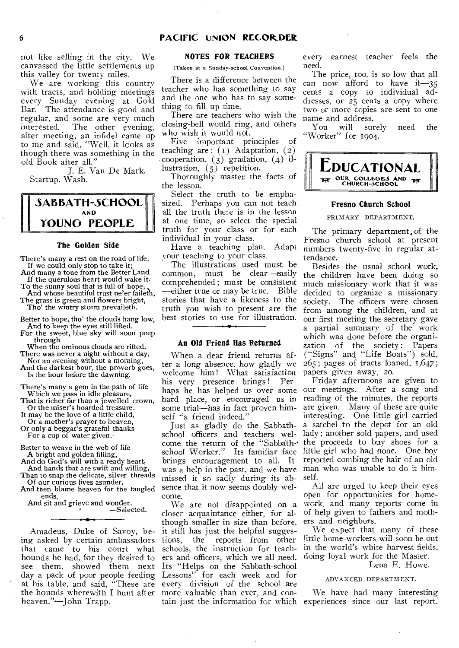#### 6 **PACIFIC UNION RECORDER**

not like selling in the city. We canvassed the little settlements up this valley for twenty miles.

We are working this country with tracts, and holding meetings every Sunday evening at Gold Bar. The attendance is good and regular, and some are very much interested. The other evening, after meeting, an infidel came up to me and said, "Well, it looks as though there was something in the old Book after all."

J. E. Van De Mark. Startup, Wash.



#### **The Golden Side**

There's many a rest on the road of life, If we could only stop to take it;

- And many a tone from the Better Land If the querulous heart would wake it.
- To the sunny soul that is full of hope, And whose beautiful trust ne'er faileth,
- The grass is green and flowers bright, Tho' the wintry storm prevaileth.

Better to hope, tho' the clouds hang low, And to keep the eyes still lifted,

For the sweet, blue sky will soon peep through

When the ominous clouds are rifted. There was never a night without a day,

Nor an evening without a morning,<br>And the darkest hour, the proverb goes, Is the hour before the dawning.

There's many a gem in the path of life Which we pass in idle pleasure,

- That is richer far than a jewelled crown,<br>Or the miser's hoarded treasure.
- It may be the love of a little child,

Or a mother's prayer to heaven, Or only a beggar's grateful thanks<br>For a cup of water given.

Better to weave in the web of life A bright and golden filling,

And do God's will with a ready heart, And hands that are swift and willing,

- Than to snap the delicate, silver threads Of our curious lives asunder,
- And then blame heaven for the tangled ends,

And sit and grieve and wonder. —Selected.

Amadeus, Duke of Savoy, being asked by certain ambassadors that came to his court what hounds he had, for they desired to see them, showed them next day a pack of poor people feeding at his table, and said, "These are the hounds wherewith I hunt after heaven."—john Trapp.

#### **NOTES FOR TEACHERS**

(Taken at a Sunday-school Convention.)

There is a difference between the teacher who has something to say and the one who has to say something to fill up time.

There are teachers who wish the closing-bell would ring, and others who wish it would not.

Five important principles of teaching are: (t) Adaptation, (2) cooperation, (3) gradation, (4) illustration, (5) repetition.

Thoroughly master the facts of the lesson.

Select the truth to be emphasized. Perhaps you can not teach all the truth there is in the lesson at one time, so select the special truth for your class or for each individual in your class.

Have a teaching plan. Adapt your teaching to your class.

The illustrations used must be common, must be clear—easily comprehended : must be consistent —either true or may be true. Bible stories that have a likeness to the truth you wish to present are the best stories to use for illustration.

#### **An Old Friend Has Returned**

When a dear friend returns after a long absence, how gladly we welcome him! What satisfaction<br>his very presence brings! Perhis very presence brings! some trial—has in fact proven himself "a friend indeed."

brings encouragement to all. It was a help in the past, and we have man who was unable to do it himmissed it so sadly during its absence that it now seems doubly welcome.

We are not disappointed on a closer acquaintance either, for although smaller in size than before, it still has just the helpful suggestions, the reports from other schools, the instruction for teachers and officers, which we all need. Its "Helps on the Sabbath-school Lessons" for each week and for every division of the school are more valuable than ever, and contain just the information for which experiences since our last report.

every earnest teacher feels the need.

The price, too, is so low that all can now afford to have it- $35$ cents a copy to individual addresses, or 25 cents a copy where two or more copies are sent to one name and address.

You will surely need the "Worker" for 1904.



#### **Fresno Church School**

#### PRIMARY DEPARTMENT.

The primary department, of the Fresno church school at present numbers twenty-five in regular attendance.

Besides the usual school work, the children have been doing so much missionary work that it was decided to organize a missionary society. The officers were chosen from among the children, and at our first meeting the secretary gave a partial summary of the work which was done before the organization of the society: Papers ("Signs" and "Life Boats") sold, 265; pages of tracts loaned, 1,647; papers given away, 20.

haps he has helped us over some our meetings. After a song and hard place, or encouraged us in reading of the minutes, the reports Just as gladly do the Sabbath-a satchel to the depot for an old school officers and teachers wel-lady ; another sold papers, and used come the return of the "Sabbath- the proceeds to buy shoes for a school Worker." Its familiar face little girl who had none. One boy Friday afternoons are given to are given. Many of these are quite interesting. One little girl carried reported combing the hair of an old self.

> All are urged to keep their eyes open for opportunities for homework, and many reports come in of help given to fathers and mothers and neighbors.

> We expect that many of these little home-workers will soon be out in the world's white harvest-fields, doing loyal work for the Master.

#### Lena E. Howe.

#### ADVANCED DEPARTMENT.

We have had many interesting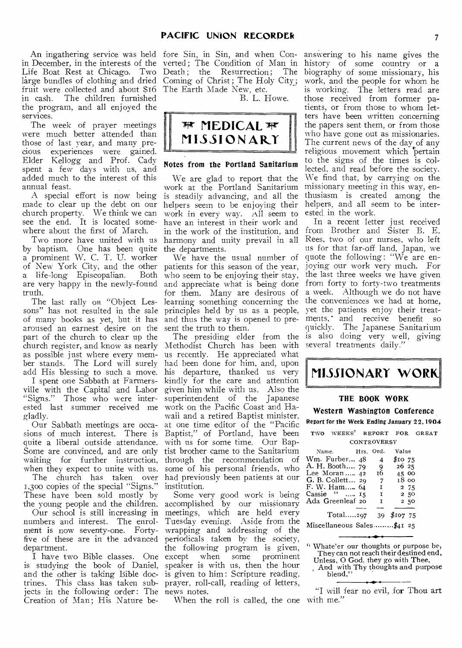in December, in the interests of the verted ; The Condition of Man in history of some country or a Life Boat Rest at Chicago. Two Death; the large bundles of clothing and dried Coming of Christ; The Holy City; fruit were collected and about \$i6 The Earth Made New, etc. in cash. The children furnished the program, and all enjoyed the services.

The week of prayer meetings were much better attended than those of last year, and many precious experiences were gained. Elder Kelloge, and Prof. Cady spent a few days with us, and added much to the interest of this annual feast.

A special effort is now being made to clear up the debt on our church property. We think we can see the end. It is located somewhere about the first of March.

by baptism. One has been quite the departments. a prominent W. C. T. U. worker of New York City, and the other patients for this season of the year, a life-long Episcopalian. Both who seem to be enjoying their stay, are very happy in the newly-found and appreciate what is being done truth.

The last rally on "Object Lessons" has not resulted in the sale principles held by us as a people, of many books as yet, but it has aroused an earnest desire on the part of the church to clear up the as possible just where every mem-us recently. He appreciated what ber stands. The Lord will surely had been done for him, and, upon add His blessing to such a move. his departure, thanked us very

"Signs." Those who were interested last summer received me gladly.

sions of much interest. There is Baptist," of Portland, have been quite a liberal outside attendance. with us for some time. Our Bap-Some are convinced, and are only tist brother came to the Sanitarium waiting for further instruction, through the recommendation of

1,30o copies of the special "Signs." institution. These have been sold mostly by the young people and the children.

numbers and interest. The enroldepartment.

I have two Bible classes. One and the other is taking Bible doc-is given to him : Scripture reading, jects in the following order: The news notes. Creation of Man; His Nature be-

An ingathering service was held fore Sin, in Sin, and when Con-answering to his name gives the Resurrection; The

B. L. Howe.



#### Notes from the Portland Sanitarium

Two more have united with us harmony and unity prevail in all Rees, two of our nurses, who left We are glad to report that the work at the Portland Sanitarium is steadily advancing, and all the helpers seem to be enjoying their work in every way. All seem to have an interest in their work and

> We have the usual number of for them. Many are desirous of learning something concerning the and thus the way is opened to present the truth to them.

church register, and know as nearly Methodist Church has been with several treatments daily." I spent one Sabbath at Farmers- kindly for the care and attention ville with the Capital and Labor given him while with us. Also the Our Sabbath meetings are occa-at one time editor of the "Pacific when they expect to unite with us. some of his personal friends, who The church has taken over had previously been patients at our superintendent of the Japanese work on the Pacific Coast and Hawaii and a retired Baptist minister,

Our school is still increasing in meetings, which are held every ment is now seventy-one. Forty-wrapping and addressing of the five of these are in the advanced periodicals taken by the society, is studying the book of Daniel, speaker is with us, then the hour trines. This class has taken sub-prayer, roll-call, reading of letters, Some very good work is being accomplished by our missionary Tuesday evening. Aside from the the following program is given,<br>except when some prominent some prominent

When the roll is called, the one with me."

biography of some missionary, his work, and the people for whom he is working. The letters read are those received from former patients, or from those to whom letters have been written concerning the papers sent them, or from those who have gone out as missionaries. The current news of the day.of any religious movement which pertain to the signs of the times is collected, and read before the society. We find that, by carrying. on the missionary meeting in this way, enthusiasm is created among the helpers, and all seem to be interested in the work.

in the work of the institution, and from Brother and Sister B. E. The presiding elder from the is also doing very well, giving In a recent letter just received us for that far-off land, Japan, we quote the following: "We are enjoying our work very much. For the last three weeks we have given from forty to forty-two treatments a week. Although we do not have the conveniences we had at home, yet the patients enjoy their treatments, and receive benefit so quickly. The Japanese Sanitarium



" Whate'er our thoughts or purpose be, They can not reach their destined end, Unless, 0 God, they go with Thee, And with Thy thoughts and purpose

blend."

"I will fear no evil, for Thou art